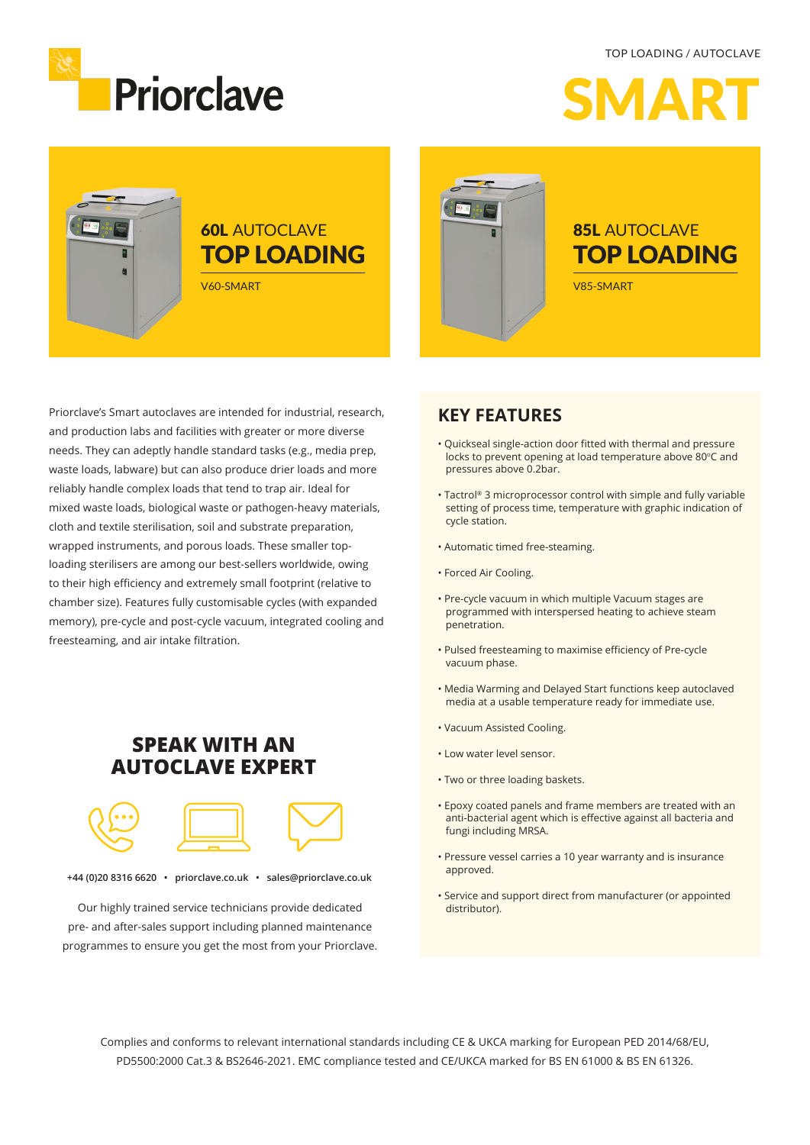TOP LOADING / AUTOCLAVE



SMART

F

# 60L AUTOCLAVE TOP LOADING

V60-SMART



### 85L AUTOCLAVE TOP LOADING

V85-SMART

Priorclave's Smart autoclaves are intended for industrial, research, and production labs and facilities with greater or more diverse needs. They can adeptly handle standard tasks (e.g., media prep, waste loads, labware) but can also produce drier loads and more reliably handle complex loads that tend to trap air. Ideal for mixed waste loads, biological waste or pathogen-heavy materials, cloth and textile sterilisation, soil and substrate preparation, wrapped instruments, and porous loads. These smaller toploading sterilisers are among our best-sellers worldwide, owing to their high efficiency and extremely small footprint (relative to chamber size). Features fully customisable cycles (with expanded memory), pre-cycle and post-cycle vacuum, integrated cooling and freesteaming, and air intake filtration.

### **SPEAK WITH AN AUTOCLAVE EXPERT**



**+44 (0)20 8316 6620 • priorclave.co.uk • sales@priorclave.co.uk**

Our highly trained service technicians provide dedicated pre- and after-sales support including planned maintenance programmes to ensure you get the most from your Priorclave.

#### **KEY FEATURES**

- Quickseal single-action door fitted with thermal and pressure locks to prevent opening at load temperature above 80°C and pressures above 0.2bar.
- Tactrol® 3 microprocessor control with simple and fully variable setting of process time, temperature with graphic indication of cycle station.
- Automatic timed free-steaming.
- Forced Air Cooling.
- Pre-cycle vacuum in which multiple Vacuum stages are programmed with interspersed heating to achieve steam penetration.
- Pulsed freesteaming to maximise efficiency of Pre-cycle vacuum phase.
- Media Warming and Delayed Start functions keep autoclaved media at a usable temperature ready for immediate use.
- Vacuum Assisted Cooling.
- Low water level sensor.
- Two or three loading baskets.
- Epoxy coated panels and frame members are treated with an anti-bacterial agent which is effective against all bacteria and fungi including MRSA.
- Pressure vessel carries a 10 year warranty and is insurance approved.
- Service and support direct from manufacturer (or appointed distributor).

Complies and conforms to relevant international standards including CE & UKCA marking for European PED 2014/68/EU, PD5500:2000 Cat.3 & BS2646-2021. EMC compliance tested and CE/UKCA marked for BS EN 61000 & BS EN 61326.